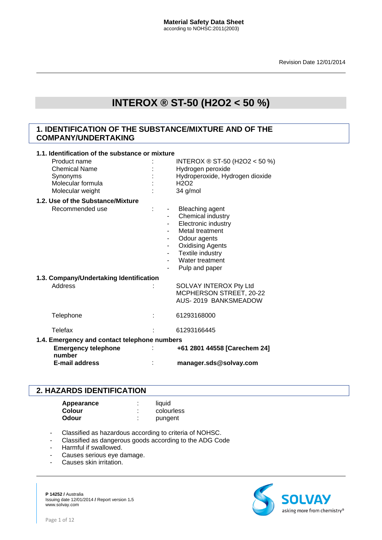# **1. IDENTIFICATION OF THE SUBSTANCE/MIXTURE AND OF THE COMPANY/UNDERTAKING**

| 1.1. Identification of the substance or mixture |                                                                                      |  |                          |                                                                                                                                                                                      |
|-------------------------------------------------|--------------------------------------------------------------------------------------|--|--------------------------|--------------------------------------------------------------------------------------------------------------------------------------------------------------------------------------|
|                                                 | Product name                                                                         |  |                          | INTEROX ® ST-50 (H2O2 < 50 %)                                                                                                                                                        |
|                                                 | <b>Chemical Name</b>                                                                 |  |                          | Hydrogen peroxide                                                                                                                                                                    |
|                                                 | Synonyms                                                                             |  |                          | Hydroperoxide, Hydrogen dioxide                                                                                                                                                      |
|                                                 | Molecular formula                                                                    |  |                          | H2O2                                                                                                                                                                                 |
|                                                 | Molecular weight                                                                     |  |                          | 34 g/mol                                                                                                                                                                             |
|                                                 | 1.2. Use of the Substance/Mixture                                                    |  |                          |                                                                                                                                                                                      |
|                                                 | Recommended use                                                                      |  | $\overline{\phantom{a}}$ | - Bleaching agent<br>Chemical industry<br>Electronic industry<br>Metal treatment<br>Odour agents<br><b>Oxidising Agents</b><br>Textile industry<br>Water treatment<br>Pulp and paper |
|                                                 | 1.3. Company/Undertaking Identification                                              |  |                          |                                                                                                                                                                                      |
|                                                 | Address                                                                              |  |                          | SOLVAY INTEROX Pty Ltd<br>MCPHERSON STREET, 20-22<br>AUS-2019 BANKSMEADOW                                                                                                            |
|                                                 | Telephone                                                                            |  |                          | 61293168000                                                                                                                                                                          |
|                                                 | <b>Telefax</b>                                                                       |  |                          | 61293166445                                                                                                                                                                          |
|                                                 | 1.4. Emergency and contact telephone numbers<br><b>Emergency telephone</b><br>number |  |                          | +61 2801 44558 [Carechem 24]                                                                                                                                                         |
|                                                 | <b>E-mail address</b>                                                                |  |                          | manager.sds@solvay.com                                                                                                                                                               |

# **2. HAZARDS IDENTIFICATION**

| Appearance   | liquid     |
|--------------|------------|
| Colour       | colourless |
| <b>Odour</b> | pungent    |

# - Classified as hazardous according to criteria of NOHSC.

- Classified as dangerous goods according to the ADG Code
- Harmful if swallowed.
- Causes serious eye damage.
- Causes skin irritation.

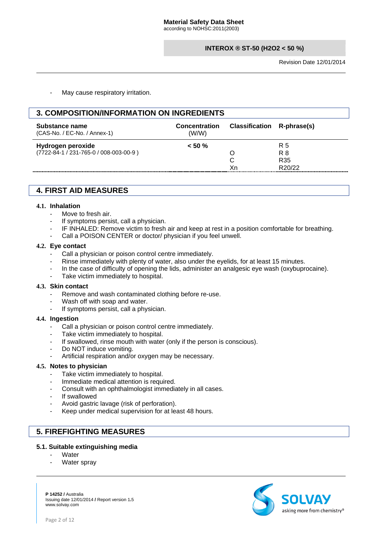May cause respiratory irritation.

# **3. COMPOSITION/INFORMATION ON INGREDIENTS**

| Substance name<br>(CAS-No. / EC-No. / Annex-1)              | <b>Concentration</b><br>(W/W) | Classification R-phrase(s) |                             |
|-------------------------------------------------------------|-------------------------------|----------------------------|-----------------------------|
| Hydrogen peroxide<br>(7722-84-1 / 231-765-0 / 008-003-00-9) | $< 50 \%$                     | Χn                         | R 5<br>R 8<br>R35<br>R20/22 |

# **4. FIRST AID MEASURES**

#### **4.1. Inhalation**

- Move to fresh air.
- If symptoms persist, call a physician.
- IF INHALED: Remove victim to fresh air and keep at rest in a position comfortable for breathing.
- Call a POISON CENTER or doctor/ physician if you feel unwell.

#### **4.2. Eye contact**

- Call a physician or poison control centre immediately.
- Rinse immediately with plenty of water, also under the eyelids, for at least 15 minutes.
- In the case of difficulty of opening the lids, administer an analgesic eye wash (oxybuprocaine).
- Take victim immediately to hospital.

#### **4.3. Skin contact**

- Remove and wash contaminated clothing before re-use.
- Wash off with soap and water.
- If symptoms persist, call a physician.

#### **4.4. Ingestion**

- Call a physician or poison control centre immediately.
- Take victim immediately to hospital.
- If swallowed, rinse mouth with water (only if the person is conscious).
- Do NOT induce vomiting.
- Artificial respiration and/or oxygen may be necessary.

#### **4.5. Notes to physician**

- Take victim immediately to hospital.
- Immediate medical attention is required.
- Consult with an ophthalmologist immediately in all cases.
- If swallowed
- Avoid gastric lavage (risk of perforation).
- Keep under medical supervision for at least 48 hours.

# **5. FIREFIGHTING MEASURES**

# **5.1. Suitable extinguishing media**

- Water
- Water spray

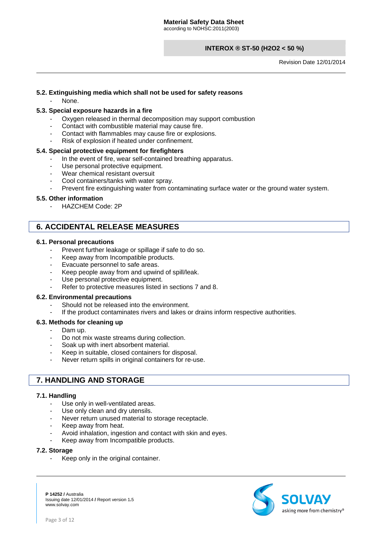Revision Date 12/01/2014

# **5.2. Extinguishing media which shall not be used for safety reasons**

None.

### **5.3. Special exposure hazards in a fire**

- Oxygen released in thermal decomposition may support combustion
- Contact with combustible material may cause fire.
- Contact with flammables may cause fire or explosions.
- Risk of explosion if heated under confinement.

#### **5.4. Special protective equipment for firefighters**

- In the event of fire, wear self-contained breathing apparatus.
- Use personal protective equipment.
- Wear chemical resistant oversuit
- Cool containers/tanks with water spray.
- Prevent fire extinguishing water from contaminating surface water or the ground water system.

#### **5.5. Other information**

HAZCHEM Code: 2P

# **6. ACCIDENTAL RELEASE MEASURES**

#### **6.1. Personal precautions**

- Prevent further leakage or spillage if safe to do so.
- Keep away from Incompatible products.
- Evacuate personnel to safe areas.
- Keep people away from and upwind of spill/leak.
- Use personal protective equipment.
- Refer to protective measures listed in sections 7 and 8.

#### **6.2. Environmental precautions**

- Should not be released into the environment.
- If the product contaminates rivers and lakes or drains inform respective authorities.

#### **6.3. Methods for cleaning up**

- Dam up.
- Do not mix waste streams during collection.
- Soak up with inert absorbent material.
- Keep in suitable, closed containers for disposal.
- Never return spills in original containers for re-use.

# **7. HANDLING AND STORAGE**

#### **7.1. Handling**

- Use only in well-ventilated areas.
- Use only clean and dry utensils.
- Never return unused material to storage receptacle.
- Keep away from heat.
- Avoid inhalation, ingestion and contact with skin and eyes.
- Keep away from Incompatible products.

#### **7.2. Storage**

Keep only in the original container.

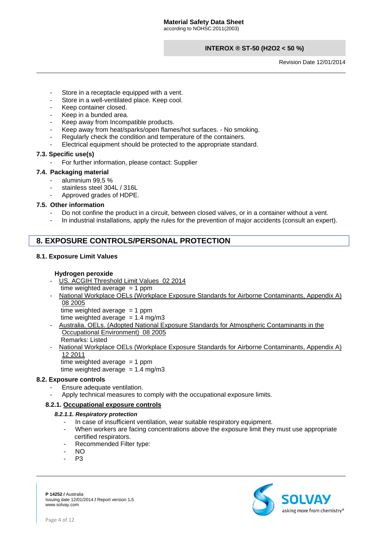Revision Date 12/01/2014

- Store in a receptacle equipped with a vent.
- Store in a well-ventilated place. Keep cool.
- Keep container closed.
- Keep in a bunded area.
- Keep away from Incompatible products.
- Keep away from heat/sparks/open flames/hot surfaces. No smoking.
- Regularly check the condition and temperature of the containers.
- Electrical equipment should be protected to the appropriate standard.

### **7.3. Specific use(s)**

- For further information, please contact: Supplier

# **7.4. Packaging material**

- aluminium 99,5 %
- stainless steel 304L / 316L
- Approved grades of HDPE.

# **7.5. Other information**

- Do not confine the product in a circuit, between closed valves, or in a container without a vent.
- In industrial installations, apply the rules for the prevention of major accidents (consult an expert).

# **8. EXPOSURE CONTROLS/PERSONAL PROTECTION**

# **8.1. Exposure Limit Values**

# **Hydrogen peroxide**

- US. ACGIH Threshold Limit Values 02 2014 time weighted average  $= 1$  ppm
- National Workplace OELs (Workplace Exposure Standards for Airborne Contaminants, Appendix A) 08 2005

time weighted average  $= 1$  ppm time weighted average  $= 1.4$  mg/m3

- Australia. OELs. (Adopted National Exposure Standards for Atmospheric Contaminants in the Occupational Environment) 08 2005 Remarks: Listed
- National Workplace OELs (Workplace Exposure Standards for Airborne Contaminants, Appendix A) 12 2011 time weighted average  $= 1$  ppm
	- time weighted average  $= 1.4$  mg/m3

# **8.2. Exposure controls**

- Ensure adequate ventilation.
- Apply technical measures to comply with the occupational exposure limits.

# **8.2.1. Occupational exposure controls**

# *8.2.1.1. Respiratory protection*

- In case of insufficient ventilation, wear suitable respiratory equipment.
- When workers are facing concentrations above the exposure limit they must use appropriate certified respirators.
- Recommended Filter type:
- NO
- P<sub>3</sub>

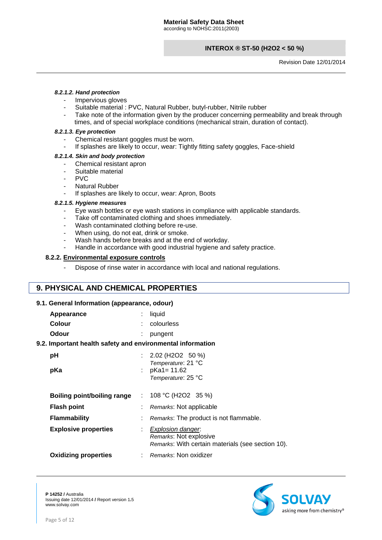Revision Date 12/01/2014

#### *8.2.1.2. Hand protection*

- Impervious gloves
- Suitable material : PVC, Natural Rubber, butyl-rubber, Nitrile rubber
- Take note of the information given by the producer concerning permeability and break through times, and of special workplace conditions (mechanical strain, duration of contact).

#### *8.2.1.3. Eye protection*

- Chemical resistant goggles must be worn.
- If splashes are likely to occur, wear: Tightly fitting safety goggles, Face-shield

#### *8.2.1.4. Skin and body protection*

- Chemical resistant apron
- Suitable material
- PVC
- **Natural Rubber**
- If splashes are likely to occur, wear: Apron, Boots

#### *8.2.1.5. Hygiene measures*

- Eye wash bottles or eye wash stations in compliance with applicable standards.
- Take off contaminated clothing and shoes immediately.
- Wash contaminated clothing before re-use.
- When using, do not eat, drink or smoke.
- Wash hands before breaks and at the end of workday.
- Handle in accordance with good industrial hygiene and safety practice.

### **8.2.2. Environmental exposure controls**

Dispose of rinse water in accordance with local and national regulations.

# **9. PHYSICAL AND CHEMICAL PROPERTIES**

# **9.1. General Information (appearance, odour)**

| Appearance | $:$ liquid     |
|------------|----------------|
| Colour     | $:$ colourless |
| Odour      | $:$ pungent    |

# **9.2. Important health safety and environmental information**

| pH<br>pKa                                                                | $: 2.02 \ (H2O2 50 \%)$<br>Temperature: 21 °C<br>: $p$ Ka1= 11.62<br>Temperature: 25 °C          |
|--------------------------------------------------------------------------|--------------------------------------------------------------------------------------------------|
| Boiling point/boiling range<br><b>Flash point</b><br><b>Flammability</b> | : $108 °C$ (H2O2 35 %)<br>Remarks: Not applicable<br>Remarks: The product is not flammable.      |
| <b>Explosive properties</b>                                              | Explosion danger.<br>Remarks: Not explosive<br>Remarks: With certain materials (see section 10). |
| <b>Oxidizing properties</b>                                              | : Remarks: Non oxidizer                                                                          |

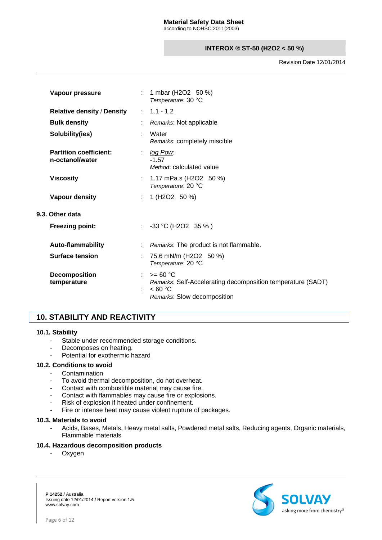Revision Date 12/01/2014

| Vapour pressure                                  |    | : 1 mbar (H2O2 50 %)<br>Temperature: 30 °C                                                                             |
|--------------------------------------------------|----|------------------------------------------------------------------------------------------------------------------------|
| <b>Relative density / Density</b>                |    | $: 1.1 - 1.2$                                                                                                          |
| <b>Bulk density</b>                              |    | Remarks: Not applicable                                                                                                |
| Solubility(ies)                                  |    | Water<br>Remarks: completely miscible                                                                                  |
| <b>Partition coefficient:</b><br>n-octanol/water |    | log Pow.<br>$-1.57$<br>Method: calculated value                                                                        |
| <b>Viscosity</b>                                 |    | : $1.17 \text{ mPa.s (H2O2 } 50 \text{ %})$<br>Temperature: 20 °C                                                      |
| Vapour density                                   | ÷. | 1 (H2O2 50 %)                                                                                                          |
| 9.3. Other data                                  |    |                                                                                                                        |
| <b>Freezing point:</b>                           |    | : $-33 \text{ °C}$ (H2O2 35 %)                                                                                         |
| <b>Auto-flammability</b>                         |    | Remarks: The product is not flammable.                                                                                 |
| <b>Surface tension</b>                           |    | 75.6 mN/m (H2O2 50 %)<br>Temperature: 20 °C                                                                            |
| <b>Decomposition</b><br>temperature              |    | : $> = 60 °C$<br>Remarks: Self-Accelerating decomposition temperature (SADT)<br>< 60 °C<br>Remarks: Slow decomposition |

# **10. STABILITY AND REACTIVITY**

# **10.1. Stability**

- Stable under recommended storage conditions.
- Decomposes on heating.
- Potential for exothermic hazard

# **10.2. Conditions to avoid**

- **Contamination**
- To avoid thermal decomposition, do not overheat.
- Contact with combustible material may cause fire.
- Contact with flammables may cause fire or explosions.
- Risk of explosion if heated under confinement.
- Fire or intense heat may cause violent rupture of packages.

#### **10.3. Materials to avoid**

Acids, Bases, Metals, Heavy metal salts, Powdered metal salts, Reducing agents, Organic materials, Flammable materials

# **10.4. Hazardous decomposition products**

- Oxygen



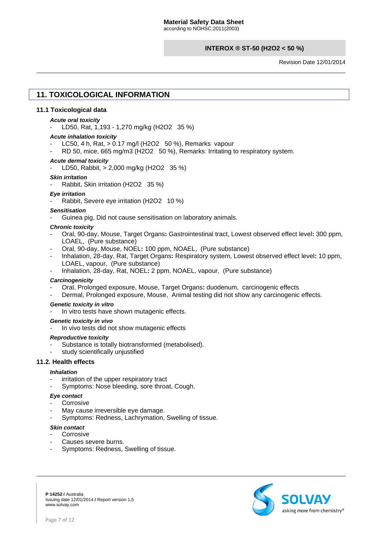Revision Date 12/01/2014

# **11. TOXICOLOGICAL INFORMATION**

#### **11.1 Toxicological data**

#### *Acute oral toxicity*

- LD50, Rat, 1,193 - 1,270 mg/kg (H2O2 35 %)

#### *Acute inhalation toxicity*

- LC50, 4 h, Rat, > 0.17 mg/l (H2O2 50 %), Remarks: vapour
- RD 50, mice, 665 mg/m3 (H2O2 50 %), Remarks: Irritating to respiratory system.

#### *Acute dermal toxicity*

- LD50, Rabbit, > 2,000 mg/kg (H2O2 35 %)

#### *Skin irritation*

Rabbit, Skin irritation (H2O2 35 %)

#### *Eye irritation*

Rabbit, Severe eye irritation (H2O2 10 %)

#### *Sensitisation*

- Guinea pig, Did not cause sensitisation on laboratory animals.

#### *Chronic toxicity*

- Oral, 90-day, Mouse, Target Organs**:** Gastrointestinal tract, Lowest observed effect level**:** 300 ppm, LOAEL, (Pure substance)
- Oral, 90-day, Mouse, NOEL**:** 100 ppm, NOAEL,(Pure substance)
- Inhalation, 28-day, Rat, Target Organs**:** Respiratory system, Lowest observed effect level**:** 10 ppm, LOAEL, vapour,(Pure substance)
- Inhalation, 28-day, Rat, NOEL**:** 2 ppm, NOAEL, vapour,(Pure substance)

#### *Carcinogenicity*

- Oral, Prolonged exposure, Mouse, Target Organs**:** duodenum,carcinogenic effects
- Dermal, Prolonged exposure, Mouse,Animal testing did not show any carcinogenic effects.

#### *Genetic toxicity in vitro*

In vitro tests have shown mutagenic effects.

#### *Genetic toxicity in vivo*

In vivo tests did not show mutagenic effects

#### *Reproductive toxicity*

- Substance is totally biotransformed (metabolised).
- study scientifically unjustified

# **11.2. Health effects**

#### *Inhalation*

- irritation of the upper respiratory tract
- Symptoms: Nose bleeding, sore throat, Cough.

#### *Eye contact*

- **Corrosive**
- May cause irreversible eye damage.
- Symptoms: Redness, Lachrymation, Swelling of tissue.

#### *Skin contact*

- Corrosive
- Causes severe burns.
- Symptoms: Redness, Swelling of tissue.

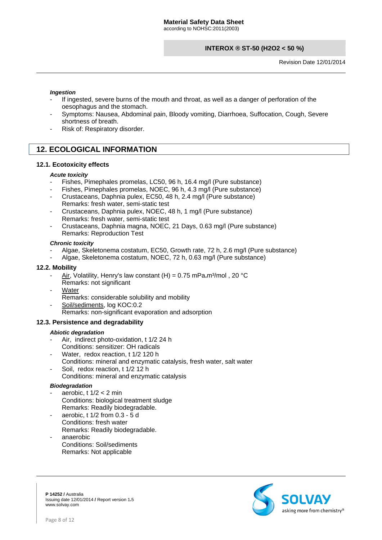Revision Date 12/01/2014

#### *Ingestion*

- If ingested, severe burns of the mouth and throat, as well as a danger of perforation of the oesophagus and the stomach.
- Symptoms: Nausea, Abdominal pain, Bloody vomiting, Diarrhoea, Suffocation, Cough, Severe shortness of breath.
- Risk of: Respiratory disorder.

# **12. ECOLOGICAL INFORMATION**

### **12.1. Ecotoxicity effects**

#### *Acute toxicity*

- Fishes, Pimephales promelas, LC50, 96 h, 16.4 mg/l (Pure substance)
- Fishes, Pimephales promelas, NOEC, 96 h, 4.3 mg/l (Pure substance)
- Crustaceans, Daphnia pulex, EC50, 48 h, 2.4 mg/l (Pure substance) Remarks: fresh water, semi-static test
- Crustaceans, Daphnia pulex, NOEC, 48 h, 1 mg/l (Pure substance) Remarks: fresh water, semi-static test
- Crustaceans, Daphnia magna, NOEC, 21 Days, 0.63 mg/l (Pure substance) Remarks: Reproduction Test

#### *Chronic toxicity*

- Algae, Skeletonema costatum, EC50, Growth rate, 72 h, 2.6 mg/l (Pure substance)
- Algae, Skeletonema costatum, NOEC, 72 h, 0.63 mg/l (Pure substance)

#### **12.2. Mobility**

- Air, Volatility, Henry's law constant (H) = 0.75 mPa.m<sup>3</sup>/mol, 20 °C Remarks: not significant
- **Water** 
	- Remarks: considerable solubility and mobility
- Soil/sediments, log KOC:0.2
	- Remarks: non-significant evaporation and adsorption

#### **12.3. Persistence and degradability**

#### *Abiotic degradation*

- Air,indirect photo-oxidation, t 1/2 24 h Conditions: sensitizer: OH radicals
- Water, redox reaction, t 1/2 120 h
- Conditions: mineral and enzymatic catalysis, fresh water, salt water
- Soil, redox reaction, t 1/2 12 h Conditions: mineral and enzymatic catalysis

#### *Biodegradation*

- aerobic,  $t$  1/2  $<$  2 min Conditions: biological treatment sludge Remarks: Readily biodegradable.
- aerobic, t 1/2 from 0.3 5 d Conditions: fresh water Remarks: Readily biodegradable.
- anaerobic Conditions: Soil/sediments Remarks: Not applicable

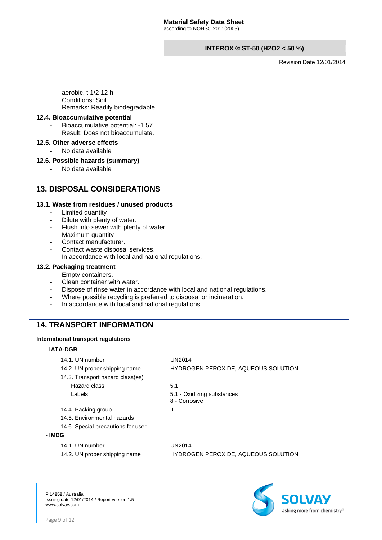according to NOHSC:2011(2003)

# **INTEROX ® ST-50 (H2O2 < 50 %)**

Revision Date 12/01/2014

aerobic, t 1/2 12 h Conditions: Soil Remarks: Readily biodegradable.

# **12.4. Bioaccumulative potential**

Bioaccumulative potential: -1.57 Result: Does not bioaccumulate.

#### **12.5. Other adverse effects**

No data available

### **12.6. Possible hazards (summary)**

- No data available

# **13. DISPOSAL CONSIDERATIONS**

### **13.1. Waste from residues / unused products**

- Limited quantity
- Dilute with plenty of water.
- Flush into sewer with plenty of water.
- Maximum quantity
- Contact manufacturer.
- Contact waste disposal services.
- In accordance with local and national regulations.

#### **13.2. Packaging treatment**

- Empty containers.
- Clean container with water.
- Dispose of rinse water in accordance with local and national regulations.
- Where possible recycling is preferred to disposal or incineration.
- In accordance with local and national regulations.

# **14. TRANSPORT INFORMATION**

#### **International transport regulations**

#### - **IATA-DGR**

| 14.1. UN number                    | UN2014                                      |
|------------------------------------|---------------------------------------------|
| 14.2. UN proper shipping name      | HYDROGEN PEROXIDE, AQUEOUS SOLUTION         |
| 14.3. Transport hazard class(es)   |                                             |
| Hazard class                       | 5.1                                         |
| Labels                             | 5.1 - Oxidizing substances<br>8 - Corrosive |
| 14.4. Packing group                | Ш                                           |
| 14.5. Environmental hazards        |                                             |
| 14.6. Special precautions for user |                                             |
| - IMDG                             |                                             |
| 14.1. UN number                    | UN2014                                      |
| 14.2. UN proper shipping name      | <b>HYDROGEN PEROXIDE, AQUEOUS SOLUTION</b>  |

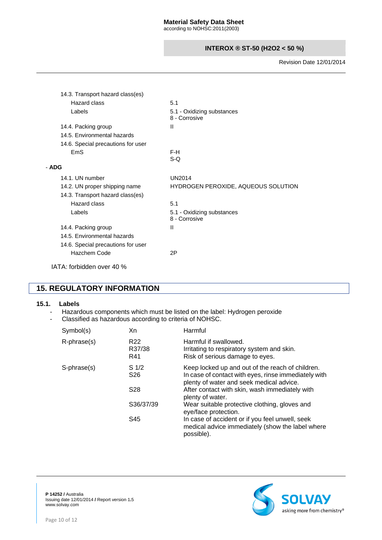Revision Date 12/01/2014

| 14.3. Transport hazard class(es)   |                                             |
|------------------------------------|---------------------------------------------|
| Hazard class                       | 5.1                                         |
| Labels                             | 5.1 - Oxidizing substances<br>8 - Corrosive |
| 14.4. Packing group                | Ш                                           |
| 14.5. Environmental hazards        |                                             |
| 14.6. Special precautions for user |                                             |
| <b>EmS</b>                         | F-H<br>$S-Q$                                |
| - ADG                              |                                             |
| 14.1. UN number                    | <b>UN2014</b>                               |
| 14.2. UN proper shipping name      | HYDROGEN PEROXIDE, AQUEOUS SOLUTION         |
| 14.3. Transport hazard class(es)   |                                             |
| Hazard class                       | 5.1                                         |
| Labels                             | 5.1 - Oxidizing substances<br>8 - Corrosive |
| 14.4. Packing group                | Ш                                           |
| 14.5. Environmental hazards        |                                             |
| 14.6. Special precautions for user |                                             |
| Hazchem Code                       | 2P                                          |
| IATA: forbidden over 40 %          |                                             |

# **15. REGULATORY INFORMATION**

#### **15.1. Labels**

- Hazardous components which must be listed on the label: Hydrogen peroxide<br>- Classified as hazardous according to criteria of NOHSC.
- Classified as hazardous according to criteria of NOHSC.

| Symbol(s)         | Xn                                  | Harmful                                                                                                                                              |
|-------------------|-------------------------------------|------------------------------------------------------------------------------------------------------------------------------------------------------|
| $R$ -phrase $(s)$ | R <sub>22</sub><br>R37/38<br>R41    | Harmful if swallowed.<br>Irritating to respiratory system and skin.<br>Risk of serious damage to eyes.                                               |
| S-phrase(s)       | S <sub>1/2</sub><br>S <sub>26</sub> | Keep locked up and out of the reach of children.<br>In case of contact with eyes, rinse immediately with<br>plenty of water and seek medical advice. |
|                   | S <sub>28</sub>                     | After contact with skin, wash immediately with<br>plenty of water.                                                                                   |
|                   | S36/37/39                           | Wear suitable protective clothing, gloves and<br>eye/face protection.                                                                                |
|                   | S45                                 | In case of accident or if you feel unwell, seek<br>medical advice immediately (show the label where<br>possible).                                    |

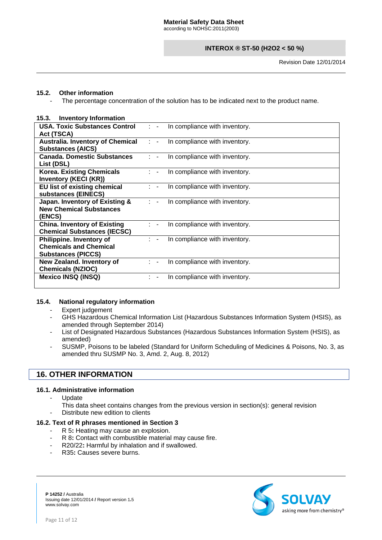Revision Date 12/01/2014

# **15.2. Other information**

The percentage concentration of the solution has to be indicated next to the product name.

### **15.3. Inventory Information**

| USA. Toxic Substances Control                                                          | In compliance with inventory.                   |
|----------------------------------------------------------------------------------------|-------------------------------------------------|
| Act (TSCA)                                                                             | $\mathcal{L} = \mathcal{L}$                     |
| <b>Australia. Inventory of Chemical</b>                                                | In compliance with inventory.                   |
| <b>Substances (AICS)</b>                                                               | $1 - -$                                         |
| <b>Canada, Domestic Substances</b>                                                     | In compliance with inventory.                   |
| List (DSL)                                                                             | $\mathbb{R}^n$                                  |
| <b>Korea. Existing Chemicals</b><br><b>Inventory (KECI (KR))</b>                       | In compliance with inventory.                   |
| EU list of existing chemical                                                           | In compliance with inventory.                   |
| substances (EINECS)                                                                    | $\mathbb{R}^n$                                  |
| Japan. Inventory of Existing &<br><b>New Chemical Substances</b><br>(ENCS)             | In compliance with inventory.<br>$\mathbb{R}^n$ |
| <b>China. Inventory of Existing</b>                                                    | In compliance with inventory.                   |
| <b>Chemical Substances (IECSC)</b>                                                     | $\mathbb{R}^n$                                  |
| Philippine. Inventory of<br><b>Chemicals and Chemical</b><br><b>Substances (PICCS)</b> | In compliance with inventory.<br>$\mathbb{R}^n$ |
| New Zealand. Inventory of<br><b>Chemicals (NZIOC)</b>                                  | In compliance with inventory.                   |
| <b>Mexico INSQ (INSQ)</b>                                                              | In compliance with inventory.                   |

# **15.4. National regulatory information**

- Expert judgement
- GHS Hazardous Chemical Information List (Hazardous Substances Information System (HSIS), as amended through September 2014)
- List of Designated Hazardous Substances (Hazardous Substances Information System (HSIS), as amended)
- SUSMP, Poisons to be labeled (Standard for Uniform Scheduling of Medicines & Poisons, No. 3, as amended thru SUSMP No. 3, Amd. 2, Aug. 8, 2012)

# **16. OTHER INFORMATION**

# **16.1. Administrative information**

- **Update**
- This data sheet contains changes from the previous version in section(s): general revision
- Distribute new edition to clients

#### **16.2. Text of R phrases mentioned in Section 3**

- R 5**:** Heating may cause an explosion.
- R 8**:** Contact with combustible material may cause fire.
- R20/22**:** Harmful by inhalation and if swallowed.
- R<sub>35</sub>: Causes severe burns.